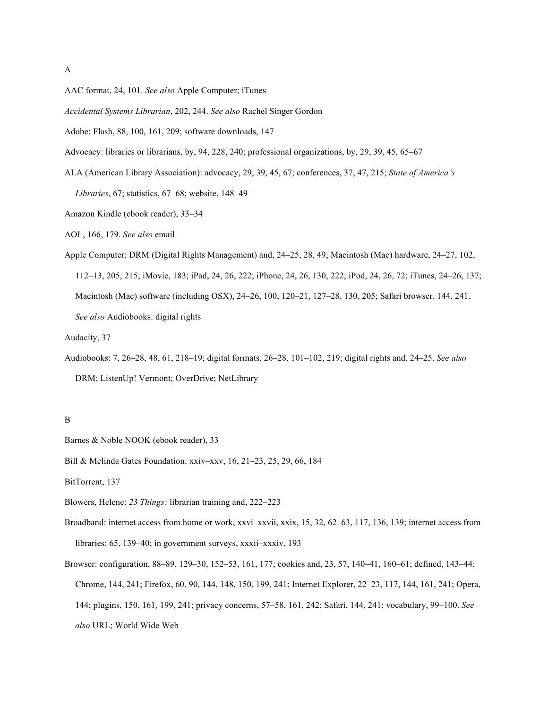- AAC format, 24, 101. *See also* Apple Computer; iTunes
- *Accidental Systems Librarian*, 202, 244. *See also* Rachel Singer Gordon
- Adobe: Flash, 88, 100, 161, 209; software downloads, 147
- Advocacy: libraries or librarians, by, 94, 228, 240; professional organizations, by, 29, 39, 45, 65–67
- ALA (American Library Association): advocacy, 29, 39, 45, 67; conferences, 37, 47, 215; *State of America's Libraries*, 67; statistics, 67–68; website, 148–49
- Amazon Kindle (ebook reader), 33–34
- AOL, 166, 179. *See also* email
- Apple Computer: DRM (Digital Rights Management) and, 24–25, 28, 49; Macintosh (Mac) hardware, 24–27, 102, 112–13, 205, 215; iMovie, 183; iPad, 24, 26, 222; iPhone, 24, 26, 130, 222; iPod, 24, 26, 72; iTunes, 24–26, 137; Macintosh (Mac) software (including OSX), 24–26, 100, 120–21, 127–28, 130, 205; Safari browser, 144, 241. *See also* Audiobooks: digital rights
- Audacity, 37
- Audiobooks: 7, 26–28, 48, 61, 218–19; digital formats, 26–28, 101–102, 219; digital rights and, 24–25. *See also* DRM; ListenUp! Vermont; OverDrive; NetLibrary

- Barnes & Noble NOOK (ebook reader), 33
- Bill & Melinda Gates Foundation: xxiv–xxv, 16, 21–23, 25, 29, 66, 184
- BitTorrent, 137
- Blowers, Helene: *23 Things:* librarian training and, 222–223
- Broadband: internet access from home or work, xxvi–xxvii, xxix, 15, 32, 62–63, 117, 136, 139; internet access from libraries: 65, 139–40; in government surveys, xxxii–xxxiv, 193
- Browser: configuration, 88–89, 129–30, 152–53, 161, 177; cookies and, 23, 57, 140–41, 160–61; defined, 143–44; Chrome, 144, 241; Firefox, 60, 90, 144, 148, 150, 199, 241; Internet Explorer, 22–23, 117, 144, 161, 241; Opera, 144; plugins, 150, 161, 199, 241; privacy concerns, 57–58, 161, 242; Safari, 144, 241; vocabulary, 99–100. *See also* URL; World Wide Web

B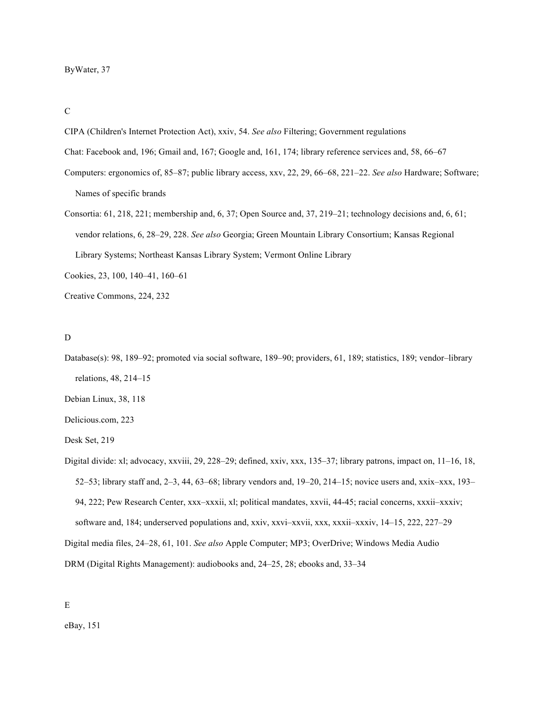C

- CIPA (Children's Internet Protection Act), xxiv, 54. *See also* Filtering; Government regulations
- Chat: Facebook and, 196; Gmail and, 167; Google and, 161, 174; library reference services and, 58, 66–67
- Computers: ergonomics of, 85–87; public library access, xxv, 22, 29, 66–68, 221–22. *See also* Hardware; Software; Names of specific brands
- Consortia: 61, 218, 221; membership and, 6, 37; Open Source and, 37, 219–21; technology decisions and, 6, 61; vendor relations, 6, 28–29, 228. *See also* Georgia; Green Mountain Library Consortium; Kansas Regional Library Systems; Northeast Kansas Library System; Vermont Online Library
- Cookies, 23, 100, 140–41, 160–61

Creative Commons, 224, 232

#### D

Database(s): 98, 189–92; promoted via social software, 189–90; providers, 61, 189; statistics, 189; vendor–library relations, 48, 214–15

Debian Linux, 38, 118

Delicious.com, 223

Desk Set, 219

Digital divide: xl; advocacy, xxviii, 29, 228–29; defined, xxiv, xxx, 135–37; library patrons, impact on, 11–16, 18, 52–53; library staff and, 2–3, 44, 63–68; library vendors and, 19–20, 214–15; novice users and, xxix–xxx, 193– 94, 222; Pew Research Center, xxx–xxxii, xl; political mandates, xxvii, 44-45; racial concerns, xxxii–xxxiv; software and, 184; underserved populations and, xxiv, xxvi–xxvii, xxx, xxxii–xxxiv, 14–15, 222, 227–29 Digital media files, 24–28, 61, 101. *See also* Apple Computer; MP3; OverDrive; Windows Media Audio

DRM (Digital Rights Management): audiobooks and, 24–25, 28; ebooks and, 33–34

E

eBay, 151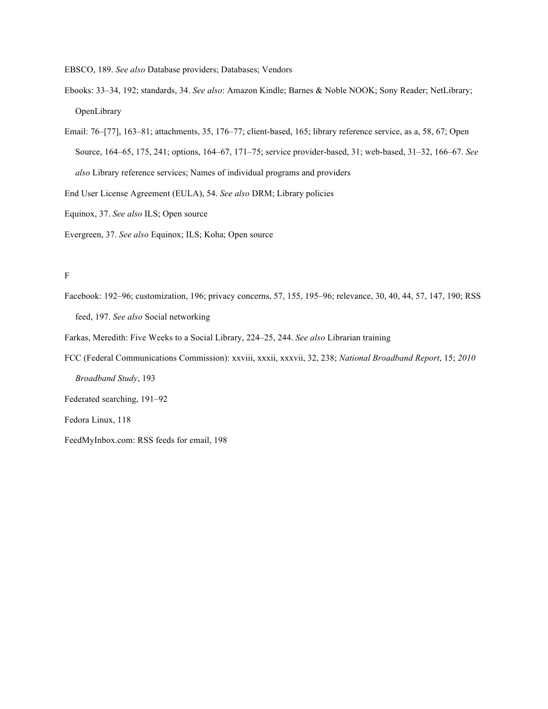EBSCO, 189. *See also* Database providers; Databases; Vendors

- Ebooks: 33–34, 192; standards, 34. *See also*: Amazon Kindle; Barnes & Noble NOOK; Sony Reader; NetLibrary; OpenLibrary
- Email: 76–[77], 163–81; attachments, 35, 176–77; client-based, 165; library reference service, as a, 58, 67; Open Source, 164–65, 175, 241; options, 164–67, 171–75; service provider-based, 31; web-based, 31–32, 166–67. *See also* Library reference services; Names of individual programs and providers
- End User License Agreement (EULA), 54. *See also* DRM; Library policies
- Equinox, 37. *See also* ILS; Open source
- Evergreen, 37. *See also* Equinox; ILS; Koha; Open source

# $\mathbf F$

- Facebook: 192–96; customization, 196; privacy concerns, 57, 155, 195–96; relevance, 30, 40, 44, 57, 147, 190; RSS feed, 197. *See also* Social networking
- Farkas, Meredith: Five Weeks to a Social Library, 224–25, 244. *See also* Librarian training
- FCC (Federal Communications Commission): xxviii, xxxii, xxxvii, 32, 238; *National Broadband Report*, 15; *2010 Broadband Study*, 193
- Federated searching, 191–92

Fedora Linux, 118

FeedMyInbox.com: RSS feeds for email, 198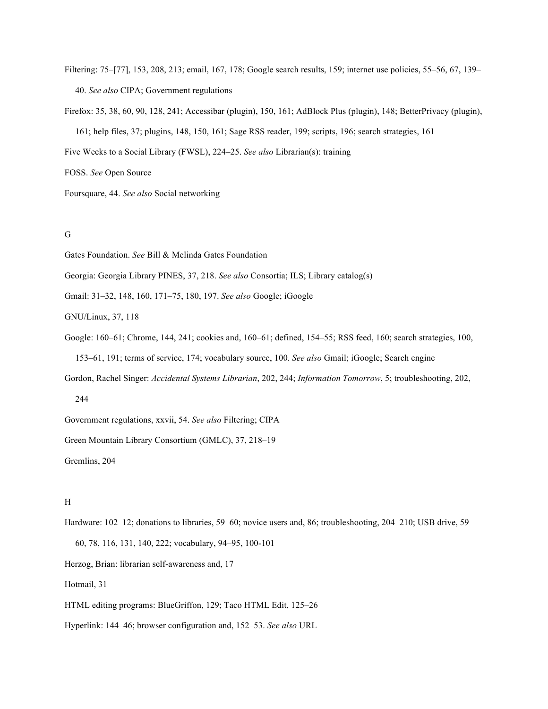- Filtering: 75–[77], 153, 208, 213; email, 167, 178; Google search results, 159; internet use policies, 55–56, 67, 139– 40. *See also* CIPA; Government regulations
- Firefox: 35, 38, 60, 90, 128, 241; Accessibar (plugin), 150, 161; AdBlock Plus (plugin), 148; BetterPrivacy (plugin), 161; help files, 37; plugins, 148, 150, 161; Sage RSS reader, 199; scripts, 196; search strategies, 161

Five Weeks to a Social Library (FWSL), 224–25. *See also* Librarian(s): training

FOSS. *See* Open Source

Foursquare, 44. *See also* Social networking

## G

Gates Foundation. *See* Bill & Melinda Gates Foundation

Georgia: Georgia Library PINES, 37, 218. *See also* Consortia; ILS; Library catalog(s)

Gmail: 31–32, 148, 160, 171–75, 180, 197. *See also* Google; iGoogle

GNU/Linux, 37, 118

- Google: 160–61; Chrome, 144, 241; cookies and, 160–61; defined, 154–55; RSS feed, 160; search strategies, 100, 153–61, 191; terms of service, 174; vocabulary source, 100. *See also* Gmail; iGoogle; Search engine
- Gordon, Rachel Singer: *Accidental Systems Librarian*, 202, 244; *Information Tomorrow*, 5; troubleshooting, 202,

244

Government regulations, xxvii, 54. *See also* Filtering; CIPA

Green Mountain Library Consortium (GMLC), 37, 218–19

Gremlins, 204

## H

Hardware: 102–12; donations to libraries, 59–60; novice users and, 86; troubleshooting, 204–210; USB drive, 59–

60, 78, 116, 131, 140, 222; vocabulary, 94–95, 100-101

Herzog, Brian: librarian self-awareness and, 17

Hotmail, 31

HTML editing programs: BlueGriffon, 129; Taco HTML Edit, 125–26

Hyperlink: 144–46; browser configuration and, 152–53. *See also* URL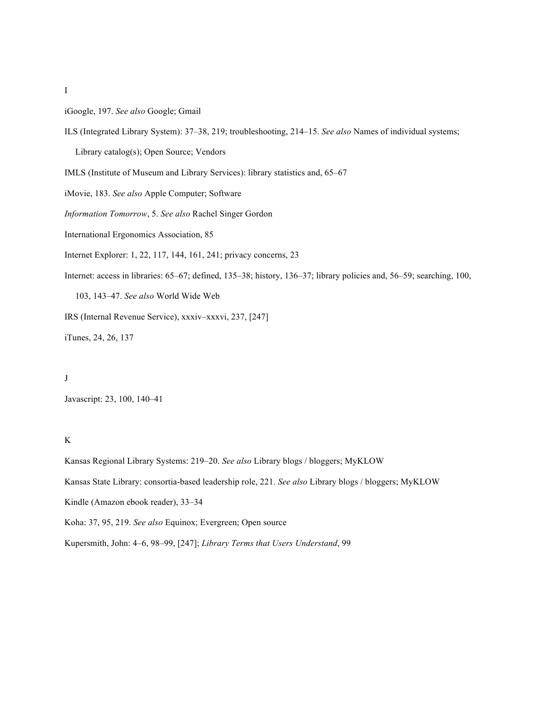- I
- iGoogle, 197. *See also* Google; Gmail
- ILS (Integrated Library System): 37–38, 219; troubleshooting, 214–15. *See also* Names of individual systems;

Library catalog(s); Open Source; Vendors

- IMLS (Institute of Museum and Library Services): library statistics and, 65–67
- iMovie, 183. *See also* Apple Computer; Software
- *Information Tomorrow*, 5. *See also* Rachel Singer Gordon
- International Ergonomics Association, 85
- Internet Explorer: 1, 22, 117, 144, 161, 241; privacy concerns, 23
- Internet: access in libraries: 65–67; defined, 135–38; history, 136–37; library policies and, 56–59; searching, 100,

103, 143–47. *See also* World Wide Web

IRS (Internal Revenue Service), xxxiv–xxxvi, 237, [247]

iTunes, 24, 26, 137

#### J

Javascript: 23, 100, 140–41

## K

Kansas Regional Library Systems: 219–20. *See also* Library blogs / bloggers; MyKLOW

Kansas State Library: consortia-based leadership role, 221. *See also* Library blogs / bloggers; MyKLOW

Kindle (Amazon ebook reader), 33–34

Koha: 37, 95, 219. *See also* Equinox; Evergreen; Open source

Kupersmith, John: 4–6, 98–99, [247]; *Library Terms that Users Understand*, 99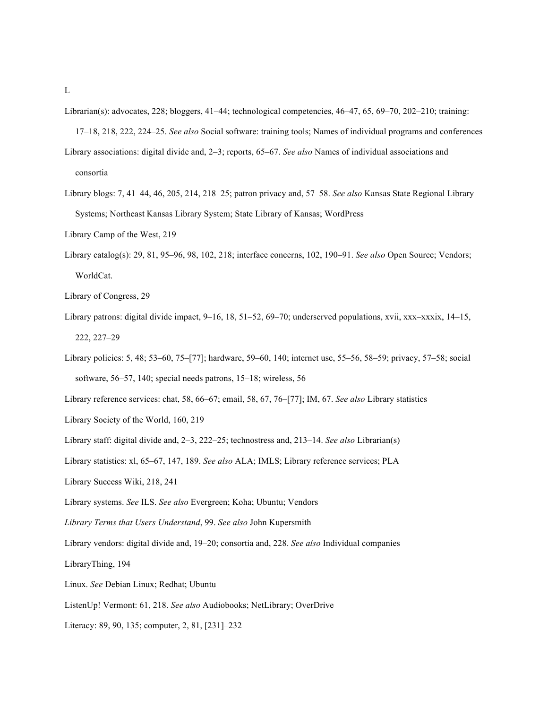- Librarian(s): advocates, 228; bloggers, 41–44; technological competencies, 46–47, 65, 69–70, 202–210; training:
- 17–18, 218, 222, 224–25. *See also* Social software: training tools; Names of individual programs and conferences Library associations: digital divide and, 2–3; reports, 65–67. *See also* Names of individual associations and consortia
- Library blogs: 7, 41–44, 46, 205, 214, 218–25; patron privacy and, 57–58. *See also* Kansas State Regional Library Systems; Northeast Kansas Library System; State Library of Kansas; WordPress
- Library Camp of the West, 219
- Library catalog(s): 29, 81, 95–96, 98, 102, 218; interface concerns, 102, 190–91. *See also* Open Source; Vendors; WorldCat.
- Library of Congress, 29
- Library patrons: digital divide impact, 9–16, 18, 51–52, 69–70; underserved populations, xvii, xxx–xxxix, 14–15, 222, 227–29
- Library policies: 5, 48; 53–60, 75–[77]; hardware, 59–60, 140; internet use, 55–56, 58–59; privacy, 57–58; social software, 56–57, 140; special needs patrons, 15–18; wireless, 56
- Library reference services: chat, 58, 66–67; email, 58, 67, 76–[77]; IM, 67. *See also* Library statistics
- Library Society of the World, 160, 219
- Library staff: digital divide and, 2–3, 222–25; technostress and, 213–14. *See also* Librarian(s)
- Library statistics: xl, 65–67, 147, 189. *See also* ALA; IMLS; Library reference services; PLA
- Library Success Wiki, 218, 241
- Library systems. *See* ILS. *See also* Evergreen; Koha; Ubuntu; Vendors
- *Library Terms that Users Understand*, 99. *See also* John Kupersmith
- Library vendors: digital divide and, 19–20; consortia and, 228. *See also* Individual companies
- LibraryThing, 194
- Linux. *See* Debian Linux; Redhat; Ubuntu
- ListenUp! Vermont: 61, 218. *See also* Audiobooks; NetLibrary; OverDrive
- Literacy: 89, 90, 135; computer, 2, 81, [231]–232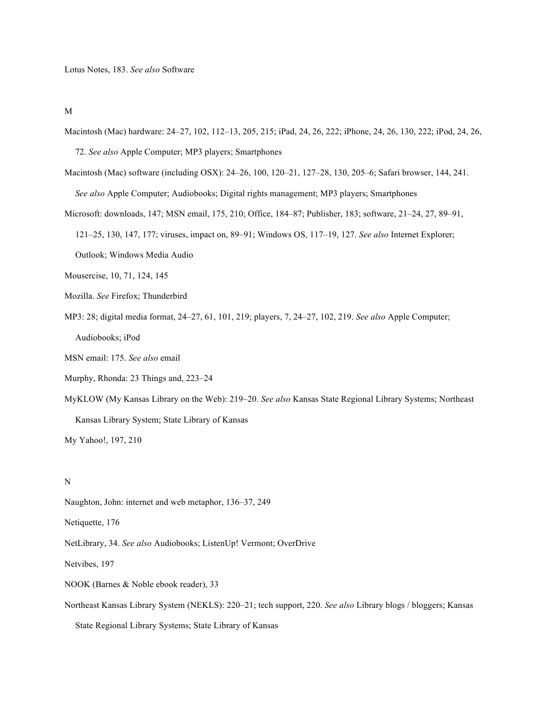M

- Macintosh (Mac) hardware: 24–27, 102, 112–13, 205, 215; iPad, 24, 26, 222; iPhone, 24, 26, 130, 222; iPod, 24, 26, 72. *See also* Apple Computer; MP3 players; Smartphones
- Macintosh (Mac) software (including OSX): 24–26, 100, 120–21, 127–28, 130, 205–6; Safari browser, 144, 241. *See also* Apple Computer; Audiobooks; Digital rights management; MP3 players; Smartphones
- Microsoft: downloads, 147; MSN email, 175, 210; Office, 184–87; Publisher, 183; software, 21–24, 27, 89–91, 121–25, 130, 147, 177; viruses, impact on, 89–91; Windows OS, 117–19, 127. *See also* Internet Explorer; Outlook; Windows Media Audio
- Mousercise, 10, 71, 124, 145
- Mozilla. *See* Firefox; Thunderbird
- MP3: 28; digital media format, 24–27, 61, 101, 219; players, 7, 24–27, 102, 219. *See also* Apple Computer;

Audiobooks; iPod

MSN email: 175. *See also* email

Murphy, Rhonda: 23 Things and, 223–24

MyKLOW (My Kansas Library on the Web): 219–20. *See also* Kansas State Regional Library Systems; Northeast Kansas Library System; State Library of Kansas

My Yahoo!, 197, 210

#### N

Naughton, John: internet and web metaphor, 136–37, 249

Netiquette, 176

NetLibrary, 34. *See also* Audiobooks; ListenUp! Vermont; OverDrive

Netvibes, 197

NOOK (Barnes & Noble ebook reader), 33

Northeast Kansas Library System (NEKLS): 220–21; tech support, 220. *See also* Library blogs / bloggers; Kansas

State Regional Library Systems; State Library of Kansas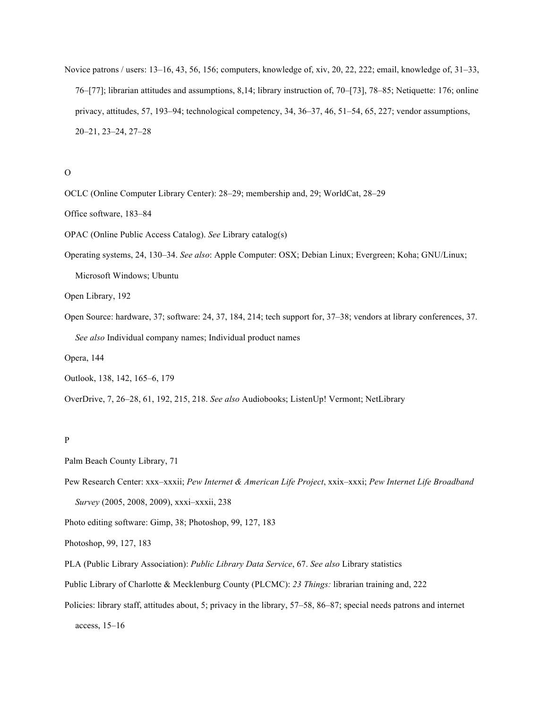Novice patrons / users: 13–16, 43, 56, 156; computers, knowledge of, xiv, 20, 22, 222; email, knowledge of, 31–33, 76–[77]; librarian attitudes and assumptions, 8,14; library instruction of, 70–[73], 78–85; Netiquette: 176; online privacy, attitudes, 57, 193–94; technological competency, 34, 36–37, 46, 51–54, 65, 227; vendor assumptions, 20–21, 23–24, 27–28

### O

- OCLC (Online Computer Library Center): 28–29; membership and, 29; WorldCat, 28–29
- Office software, 183–84
- OPAC (Online Public Access Catalog). *See* Library catalog(s)
- Operating systems, 24, 130–34. *See also*: Apple Computer: OSX; Debian Linux; Evergreen; Koha; GNU/Linux; Microsoft Windows; Ubuntu

Open Library, 192

Open Source: hardware, 37; software: 24, 37, 184, 214; tech support for, 37–38; vendors at library conferences, 37. *See also* Individual company names; Individual product names

Opera, 144

Outlook, 138, 142, 165–6, 179

OverDrive, 7, 26–28, 61, 192, 215, 218. *See also* Audiobooks; ListenUp! Vermont; NetLibrary

## P

Palm Beach County Library, 71

Pew Research Center: xxx–xxxii; *Pew Internet & American Life Project*, xxix–xxxi; *Pew Internet Life Broadband Survey* (2005, 2008, 2009), xxxi–xxxii, 238

Photo editing software: Gimp, 38; Photoshop, 99, 127, 183

Photoshop, 99, 127, 183

- PLA (Public Library Association): *Public Library Data Service*, 67. *See also* Library statistics
- Public Library of Charlotte & Mecklenburg County (PLCMC): *23 Things:* librarian training and, 222
- Policies: library staff, attitudes about, 5; privacy in the library, 57–58, 86–87; special needs patrons and internet

access, 15–16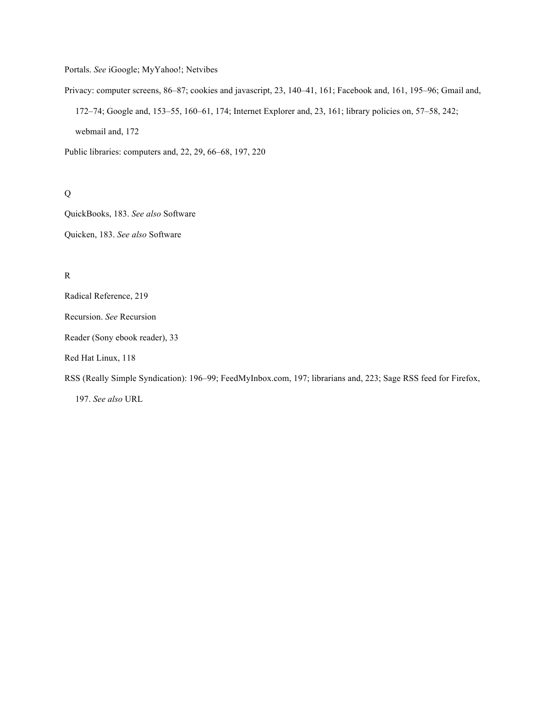Portals. *See* iGoogle; MyYahoo!; Netvibes

Privacy: computer screens, 86–87; cookies and javascript, 23, 140–41, 161; Facebook and, 161, 195–96; Gmail and, 172–74; Google and, 153–55, 160–61, 174; Internet Explorer and, 23, 161; library policies on, 57–58, 242; webmail and, 172

Public libraries: computers and, 22, 29, 66–68, 197, 220

# Q

QuickBooks, 183. *See also* Software Quicken, 183. *See also* Software

# R

Radical Reference, 219

Recursion. *See* Recursion

Reader (Sony ebook reader), 33

Red Hat Linux, 118

RSS (Really Simple Syndication): 196–99; FeedMyInbox.com, 197; librarians and, 223; Sage RSS feed for Firefox,

197. *See also* URL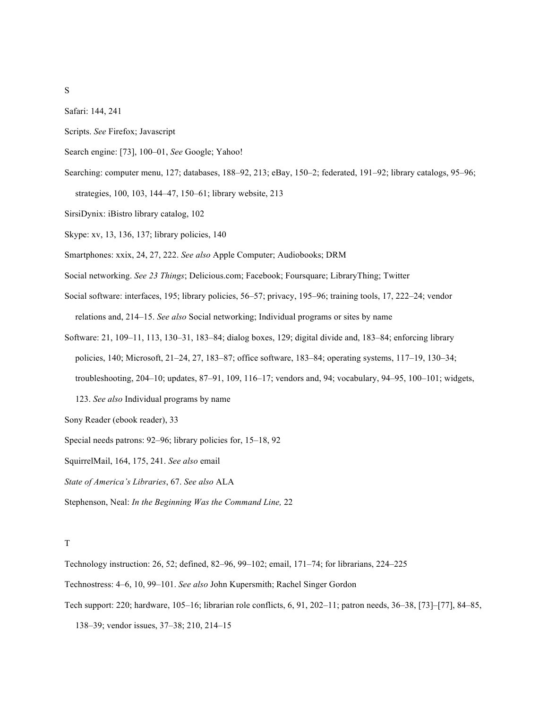Safari: 144, 241

- Scripts. *See* Firefox; Javascript
- Search engine: [73], 100–01, *See* Google; Yahoo!
- Searching: computer menu, 127; databases, 188–92, 213; eBay, 150–2; federated, 191–92; library catalogs, 95–96; strategies, 100, 103, 144–47, 150–61; library website, 213
- SirsiDynix: iBistro library catalog, 102
- Skype: xv, 13, 136, 137; library policies, 140
- Smartphones: xxix, 24, 27, 222. *See also* Apple Computer; Audiobooks; DRM
- Social networking. *See 23 Things*; Delicious.com; Facebook; Foursquare; LibraryThing; Twitter
- Social software: interfaces, 195; library policies, 56–57; privacy, 195–96; training tools, 17, 222–24; vendor relations and, 214–15. *See also* Social networking; Individual programs or sites by name
- Software: 21, 109–11, 113, 130–31, 183–84; dialog boxes, 129; digital divide and, 183–84; enforcing library policies, 140; Microsoft, 21–24, 27, 183–87; office software, 183–84; operating systems, 117–19, 130–34; troubleshooting, 204–10; updates, 87–91, 109, 116–17; vendors and, 94; vocabulary, 94–95, 100–101; widgets, 123. *See also* Individual programs by name
- Sony Reader (ebook reader), 33
- Special needs patrons: 92–96; library policies for, 15–18, 92
- SquirrelMail, 164, 175, 241. *See also* email
- *State of America's Libraries*, 67. *See also* ALA
- Stephenson, Neal: *In the Beginning Was the Command Line,* 22

#### T

- Technology instruction: 26, 52; defined, 82–96, 99–102; email, 171–74; for librarians, 224–225
- Technostress: 4–6, 10, 99–101. *See also* John Kupersmith; Rachel Singer Gordon
- Tech support: 220; hardware, 105–16; librarian role conflicts, 6, 91, 202–11; patron needs, 36–38, [73]–[77], 84–85,
	- 138–39; vendor issues, 37–38; 210, 214–15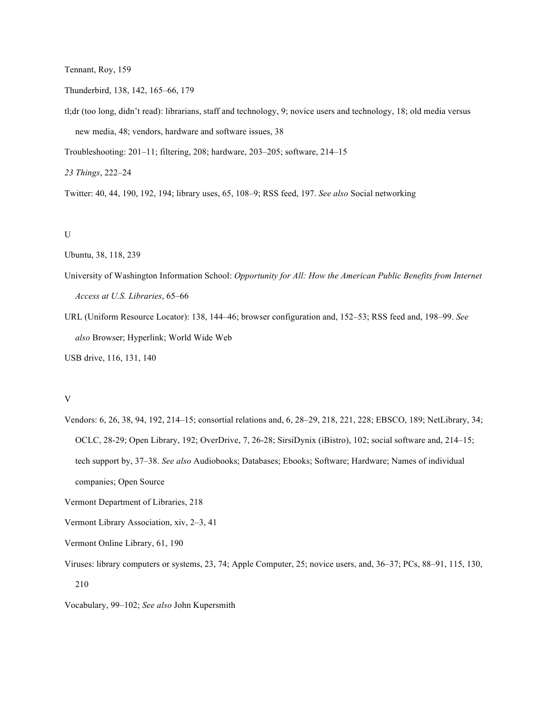Tennant, Roy, 159

Thunderbird, 138, 142, 165–66, 179

tl;dr (too long, didn't read): librarians, staff and technology, 9; novice users and technology, 18; old media versus new media, 48; vendors, hardware and software issues, 38

Troubleshooting: 201–11; filtering, 208; hardware, 203–205; software, 214–15

*23 Things*, 222–24

Twitter: 40, 44, 190, 192, 194; library uses, 65, 108–9; RSS feed, 197. *See also* Social networking

### U

Ubuntu, 38, 118, 239

- University of Washington Information School: *Opportunity for All: How the American Public Benefits from Internet Access at U.S. Libraries*, 65–66
- URL (Uniform Resource Locator): 138, 144–46; browser configuration and, 152–53; RSS feed and, 198–99. *See also* Browser; Hyperlink; World Wide Web

USB drive, 116, 131, 140

## V

- Vendors: 6, 26, 38, 94, 192, 214–15; consortial relations and, 6, 28–29, 218, 221, 228; EBSCO, 189; NetLibrary, 34; OCLC, 28-29; Open Library, 192; OverDrive, 7, 26-28; SirsiDynix (iBistro), 102; social software and, 214–15; tech support by, 37–38. *See also* Audiobooks; Databases; Ebooks; Software; Hardware; Names of individual companies; Open Source
- Vermont Department of Libraries, 218
- Vermont Library Association, xiv, 2–3, 41
- Vermont Online Library, 61, 190
- Viruses: library computers or systems, 23, 74; Apple Computer, 25; novice users, and, 36–37; PCs, 88–91, 115, 130, 210
- Vocabulary, 99–102; *See also* John Kupersmith